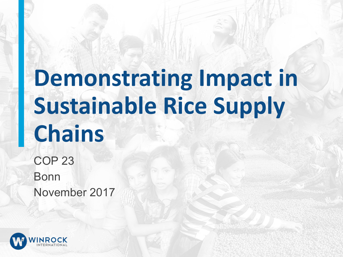# **Demonstrating Impact in Sustainable Rice Supply Chains**

COP 23 Bonn November 2017

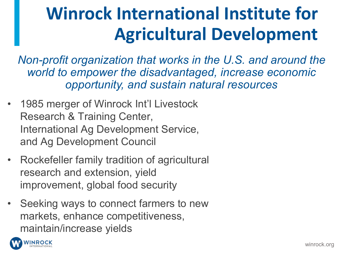### **Winrock International Institute for Agricultural Development**

*Non-profit organization that works in the U.S. and around the world to empower the disadvantaged, increase economic opportunity, and sustain natural resources*

- 1985 merger of Winrock Int'l Livestock Research & Training Center, International Ag Development Service, and Ag Development Council
- Rockefeller family tradition of agricultural research and extension, yield improvement, global food security
- Seeking ways to connect farmers to new markets, enhance competitiveness, maintain/increase yields

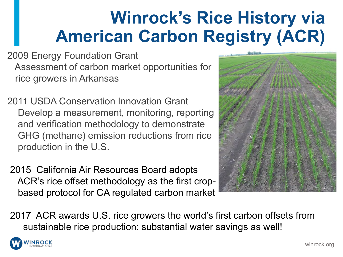### **Winrock's Rice History via American Carbon Registry (ACR)**

2009 Energy Foundation Grant Assessment of carbon market opportunities for rice growers in Arkansas

2011 USDA Conservation Innovation Grant Develop a measurement, monitoring, reporting and verification methodology to demonstrate GHG (methane) emission reductions from rice production in the U.S.

2015 California Air Resources Board adopts ACR's rice offset methodology as the first cropbased protocol for CA regulated carbon market



2017 ACR awards U.S. rice growers the world's first carbon offsets from sustainable rice production: substantial water savings as well!

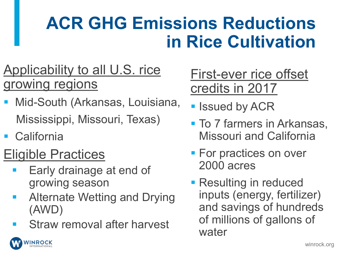### **ACR GHG Emissions Reductions in Rice Cultivation**

### Applicability to all U.S. rice growing regions

- § Mid-South (Arkansas, Louisiana, Mississippi, Missouri, Texas)
- California

**VINROCK** 

### Eligible Practices

- Early drainage at end of growing season
- § Alternate Wetting and Drying (AWD)
- § Straw removal after harvest

First-ever rice offset credits in 2017

- **E** Issued by ACR
- To 7 farmers in Arkansas, Missouri and California
- For practices on over 2000 acres
- Resulting in reduced inputs (energy, fertilizer) and savings of hundreds of millions of gallons of water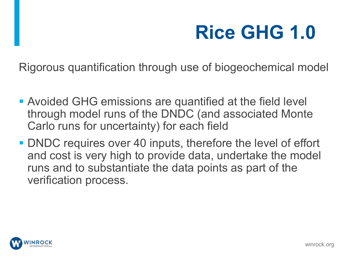# **Rice GHG 1.0**

Rigorous quantification through use of biogeochemical model

- **Avoided GHG emissions are quantified at the field level** through model runs of the DNDC (and associated Monte Carlo runs for uncertainty) for each field
- DNDC requires over 40 inputs, therefore the level of effort and cost is very high to provide data, undertake the model runs and to substantiate the data points as part of the verification process.

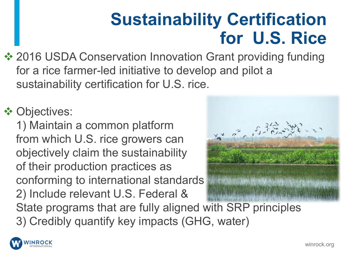### **Sustainability Certification for U.S. Rice**

❖ 2016 USDA Conservation Innovation Grant providing funding for a rice farmer-led initiative to develop and pilot a sustainability certification for U.S. rice.

### **V** Objectives:

1) Maintain a common platform from which U.S. rice growers can objectively claim the sustainability of their production practices as conforming to international standards 2) Include relevant U.S. Federal & State programs that are fully aligned with SRP principles 3) Credibly quantify key impacts (GHG, water)



**INROCK**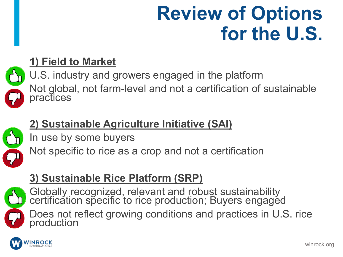### **Review of Options for the U.S.**



#### **1) Field to Market**

U.S. industry and growers engaged in the platform Not global, not farm-level and not a certification of sustainable practices



#### **2) Sustainable Agriculture Initiative (SAI)**

In use by some buyers

Not specific to rice as a crop and not a certification

#### **3) Sustainable Rice Platform (SRP)**



Globally recognized, relevant and robust sustainability certification specific to rice production; Buyers engaged

Does not reflect growing conditions and practices in U.S. rice production

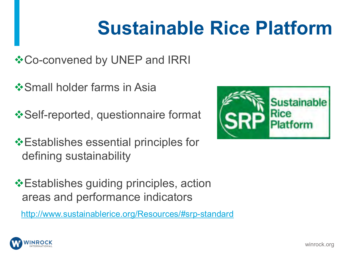### **Sustainable Rice Platform**

- **Vo-convened by UNEP and IRRI**
- **❖ Small holder farms in Asia**
- **\*Self-reported, questionnaire format**
- $\triangle$ **Establishes essential principles for** defining sustainability
- ❖Establishes guiding principles, action areas and performance indicators
	- http://www.sustainablerice.org/Resources/#srp-standard



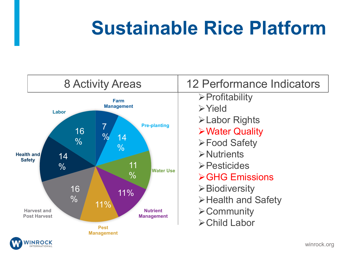### **Sustainable Rice Platform**

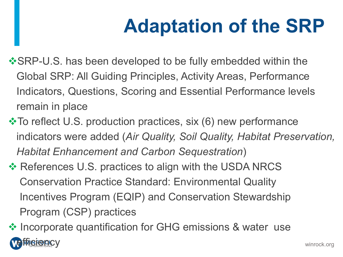# **Adaptation of the SRP**

- **\*SRP-U.S. has been developed to be fully embedded within the** Global SRP: All Guiding Principles, Activity Areas, Performance Indicators, Questions, Scoring and Essential Performance levels remain in place
- **Vota To reflect U.S. production practices, six (6) new performance** indicators were added (*Air Quality, Soil Quality, Habitat Preservation, Habitat Enhancement and Carbon Sequestration*)
- ❖ References U.S. practices to align with the USDA NRCS Conservation Practice Standard: Environmental Quality Incentives Program (EQIP) and Conservation Stewardship Program (CSP) practices

❖ Incorporate quantification for GHG emissions & water use **BIGACV**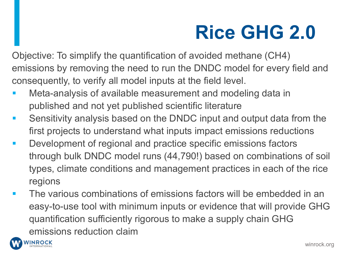### **Rice GHG 2.0**

Objective: To simplify the quantification of avoided methane (CH4) emissions by removing the need to run the DNDC model for every field and consequently, to verify all model inputs at the field level.

- Meta-analysis of available measurement and modeling data in published and not yet published scientific literature
- Sensitivity analysis based on the DNDC input and output data from the first projects to understand what inputs impact emissions reductions
- Development of regional and practice specific emissions factors through bulk DNDC model runs (44,790!) based on combinations of soil types, climate conditions and management practices in each of the rice regions
- The various combinations of emissions factors will be embedded in an easy-to-use tool with minimum inputs or evidence that will provide GHG quantification sufficiently rigorous to make a supply chain GHG emissions reduction claim

**INROCK** 

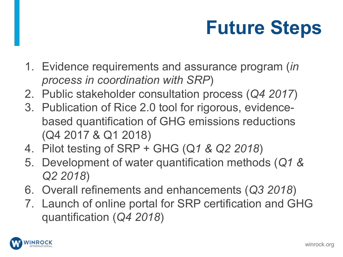# **Future Steps**

- 1. Evidence requirements and assurance program (*in process in coordination with SRP*)
- 2. Public stakeholder consultation process (*Q4 2017*)
- 3. Publication of Rice 2.0 tool for rigorous, evidencebased quantification of GHG emissions reductions (Q4 2017 & Q1 2018)
- 4. Pilot testing of SRP + GHG (Q*1 & Q2 2018*)
- 5. Development of water quantification methods (*Q1 & Q2 2018*)
- 6. Overall refinements and enhancements (*Q3 2018*)
- 7. Launch of online portal for SRP certification and GHG quantification (*Q4 2018*)